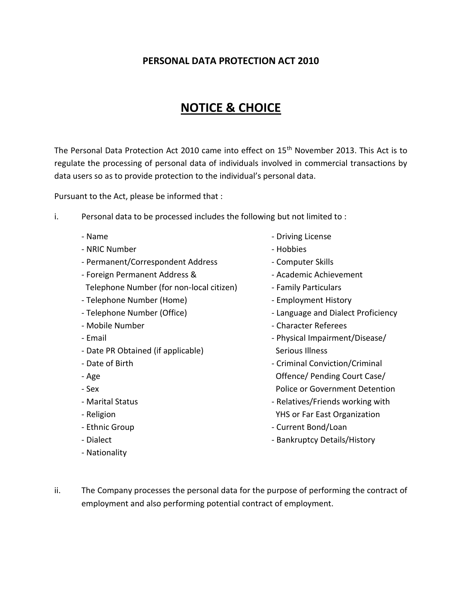## **PERSONAL DATA PROTECTION ACT 2010**

## **NOTICE & CHOICE**

The Personal Data Protection Act 2010 came into effect on 15<sup>th</sup> November 2013. This Act is to regulate the processing of personal data of individuals involved in commercial transactions by data users so as to provide protection to the individual's personal data.

Pursuant to the Act, please be informed that :

- i. Personal data to be processed includes the following but not limited to :
	-
	- NRIC Number Hobbies
	- Permanent/Correspondent Address Computer Skills
	- Foreign Permanent Address & - Academic Achievement
	- Telephone Number (for non-local citizen) Family Particulars
	- Telephone Number (Home)  $\overline{\phantom{a}}$  Employment History
	-
	-
	-
	- Date PR Obtained (if applicable) Serious Illness
	-
	-
	-
	-
	-
	-
	-
	- Nationality
- Name  $\overline{\phantom{a}}$  Name  $\overline{\phantom{a}}$  Driving License
	-
	-
	-
	-
	-
- Telephone Number (Office)  $\overline{\phantom{a}}$  Language and Dialect Proficiency
- Mobile Number  **Character Referees**
- Email **Email** Physical Impairment/Disease/
- Date of Birth  $\sim$  Criminal Conviction/Criminal - Age **Offence/ Pending Court Case/** - Sex Police or Government Detention
- Marital Status  **Relatives/Friends working with** - Religion **The Community Community** PHS or Far East Organization
- Ethnic Group **Current Bond/Loan**
- Dialect  **Bankruptcy Details/History** Bankruptcy Details/History
- ii. The Company processes the personal data for the purpose of performing the contract of employment and also performing potential contract of employment.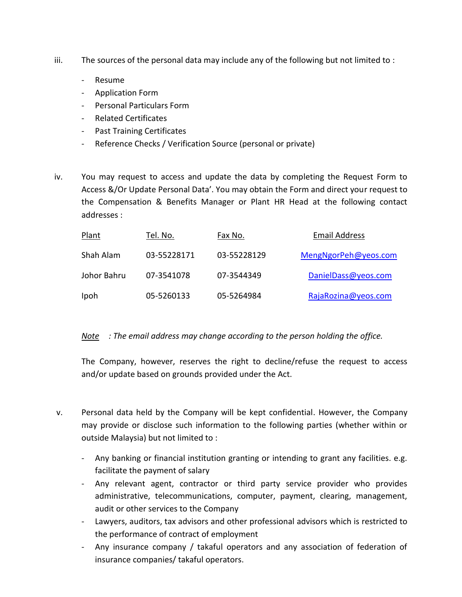- iii. The sources of the personal data may include any of the following but not limited to :
	- Resume
	- Application Form
	- Personal Particulars Form
	- Related Certificates
	- Past Training Certificates
	- Reference Checks / Verification Source (personal or private)
- iv. You may request to access and update the data by completing the Request Form to Access &/Or Update Personal Data'. You may obtain the Form and direct your request to the Compensation & Benefits Manager or Plant HR Head at the following contact addresses :

| Plant       | Tel. No.    | Fax No.     | <b>Email Address</b> |
|-------------|-------------|-------------|----------------------|
| Shah Alam   | 03-55228171 | 03-55228129 | MengNgorPeh@yeos.com |
| Johor Bahru | 07-3541078  | 07-3544349  | DanielDass@yeos.com  |
| Ipoh        | 05-5260133  | 05-5264984  | RajaRozina@yeos.com  |

## *Note : The email address may change according to the person holding the office.*

The Company, however, reserves the right to decline/refuse the request to access and/or update based on grounds provided under the Act.

- v. Personal data held by the Company will be kept confidential. However, the Company may provide or disclose such information to the following parties (whether within or outside Malaysia) but not limited to :
	- Any banking or financial institution granting or intending to grant any facilities. e.g. facilitate the payment of salary
	- Any relevant agent, contractor or third party service provider who provides administrative, telecommunications, computer, payment, clearing, management, audit or other services to the Company
	- Lawyers, auditors, tax advisors and other professional advisors which is restricted to the performance of contract of employment
	- Any insurance company / takaful operators and any association of federation of insurance companies/ takaful operators.